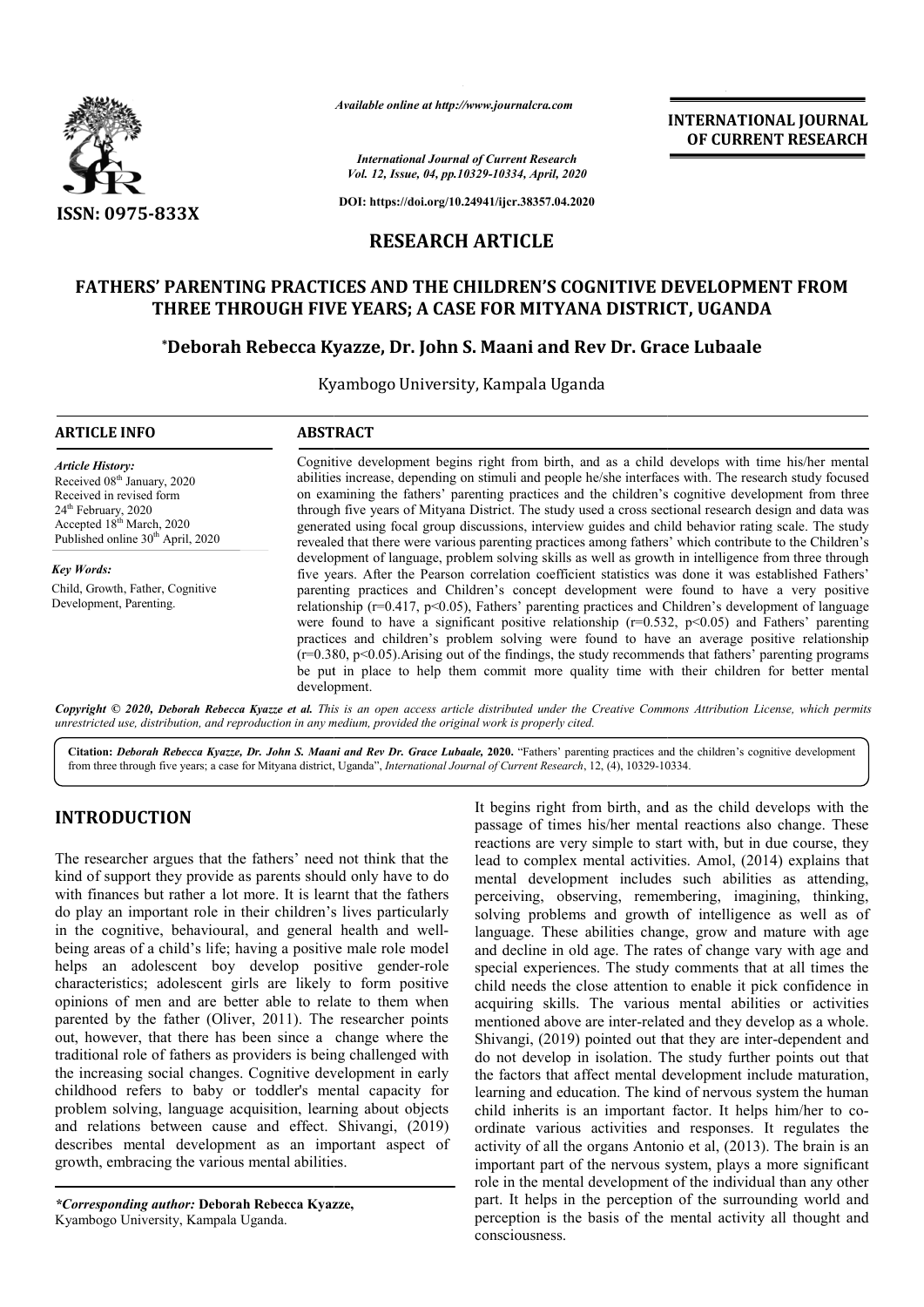

*Available online at http://www.journalcra.com*

*International Journal of Current Research Vol. 12, Issue, 04, pp.10329-10334, April, 2020*

**DOI: https://doi.org/10.24941/ijcr.38357.04.2020**

# **RESEARCH ARTICLE**

## **FATHERS' PARENTING PRACTICES AND THE CHILDREN'S COGNITIVE DEVELOPMENT FROM THREE THROUGH FIVE YEARS; A CASE FOR MITYANA DISTRICT, UGANDA** PARENTING PRACTICES AND THE CHILDREN'S COGNITIVE DEVELOPMENT FROM<br>'HREE THROUGH FIVE YEARS; A CASE FOR MITYANA DISTRICT, UGANDA<br>\*Deborah Rebecca Kyazze, Dr. John S. Maani and Rev Dr. Grace Lubaale

Kyambogo University, Kampala Uganda

| <b>ABSTRACT</b>                                                                                                                                                                                                                                                                                                                                                                                                                                                                                                                                                                                                                              |  |  |
|----------------------------------------------------------------------------------------------------------------------------------------------------------------------------------------------------------------------------------------------------------------------------------------------------------------------------------------------------------------------------------------------------------------------------------------------------------------------------------------------------------------------------------------------------------------------------------------------------------------------------------------------|--|--|
| Cognitive development begins right from birth, and as a child develops with time his/her mental<br>abilities increase, depending on stimuli and people he/she interfaces with. The research study focused<br>on examining the fathers' parenting practices and the children's cognitive development from three<br>through five years of Mityana District. The study used a cross sectional research design and data was<br>generated using focal group discussions, interview guides and child behavior rating scale. The study<br>revealed that there were various parenting practices among fathers' which contribute to the Children's    |  |  |
| development of language, problem solving skills as well as growth in intelligence from three through<br>five years. After the Pearson correlation coefficient statistics was done it was established Fathers'                                                                                                                                                                                                                                                                                                                                                                                                                                |  |  |
| parenting practices and Children's concept development were found to have a very positive<br>relationship ( $r=0.417$ , $p<0.05$ ), Fathers' parenting practices and Children's development of language<br>were found to have a significant positive relationship ( $r=0.532$ , $p<0.05$ ) and Fathers' parenting<br>practices and children's problem solving were found to have an average positive relationship<br>$(r=0.380, p<0.05)$ . Arising out of the findings, the study recommends that fathers' parenting programs<br>be put in place to help them commit more quality time with their children for better mental<br>development. |  |  |
|                                                                                                                                                                                                                                                                                                                                                                                                                                                                                                                                                                                                                                              |  |  |

*Copyright © 2020, Deborah Rebecca Kyazze et al. This unrestricted use, distribution, and reproduction in any medium, is an open access article distributed under the Creative Commons provided the original work is properly cited. Attribution License, which permits*

Citation: Deborah Rebecca Kyazze, Dr. John S. Maani and Rev Dr. Grace Lubaale, 2020. "Fathers' parenting practices and the children's cognitive development from three through five years; a case for Mityana district, Uganda", *International Journal of Current Research*, 12, (4), 10329-10334 10334.

#### **INTRODUCTION**

The researcher argues that the fathers' need not think that the kind of support they provide as parents should only have to do with finances but rather a lot more. It is learnt that the fathers do play an important role in their children's lives particularly in the cognitive, behavioural, and general health and wellbeing areas of a child's life; having a positive male role model helps an adolescent boy develop positive gender gender-role characteristics; adolescent girls are likely to form positive opinions of men and are better able to relate to them when parented by the father (Oliver, 2011). The researcher points out, however, that there has been since a change where the traditional role of fathers as providers is being challenged with the increasing social changes. Cognitive development in early childhood refers to baby or toddler's mental capacity for problem solving, language acquisition, learning about objects and relations between cause and effect. Shivangi, (2019) describes mental development as an important aspect of growth, embracing the various mental abilities.

*\*Corresponding author:* **Deborah Rebecca Kyazze Kyazze,** Kyambogo University, Kampala Uganda.

It begins right from birth, and as the child develops with the passage of times his/her mental reactions also change. These reactions are very simple to start with, but in due course, they lead to complex mental activities. Amol, (2014) explains that mental development includes such abilities as attending, perceiving, observing, remembering, imagining, thinking, solving problems and growth of intelligence as well as of language. These abilities change, grow and mature with age and decline in old age. The rates of change vary with age and special experiences. The study comments that at all times the child needs the close attention to enable it pick confidence in acquiring skills. The various mental abilities or activities mentioned above are inter-related and they develop as a whole. Shivangi, (2019) pointed out that they are inter-dependent and do not develop in isolation. The study further points out that the factors that affect mental development include maturation, learning and education. The kind of nervous system the human child inherits is an important factor. It helps him/her to coordinate various activities and responses. It regulates the activity of all the organs Antonio et al, (2013). The brain is an important part of the nervous system, plays a more significant role in the mental development of the individual than any other part. It helps in the perception of the surrounding world and perception is the basis of the mental activity all thought and consciousness. It begins right from birth, and as the child develops with the passage of times his/her mental reactions also change. These reactions are very simple to start with, but in due course, they lead to complex mental activities evelop in isolation. The study further points out that<br>rs that affect mental development include maturation,<br>and education. The kind of nervous system the human **INTERNATIONAL JOURNAL TIONAL JOURNAL FORMAL SET (THE ANTIONAL JOURNAL TOTAL CONDUCT THE CONDUCT CONDUCT CONDUCT CHE ANTION (F-3387, 04.2013)<br>
FICILE RENEWS COGNITIVE DEVELOPMENT FROM RIMITY AND DISTRICT, UGANDA RIMITY AND** 

**INTERNATIONAL JOURNAL OF CURRENT RESEARCH**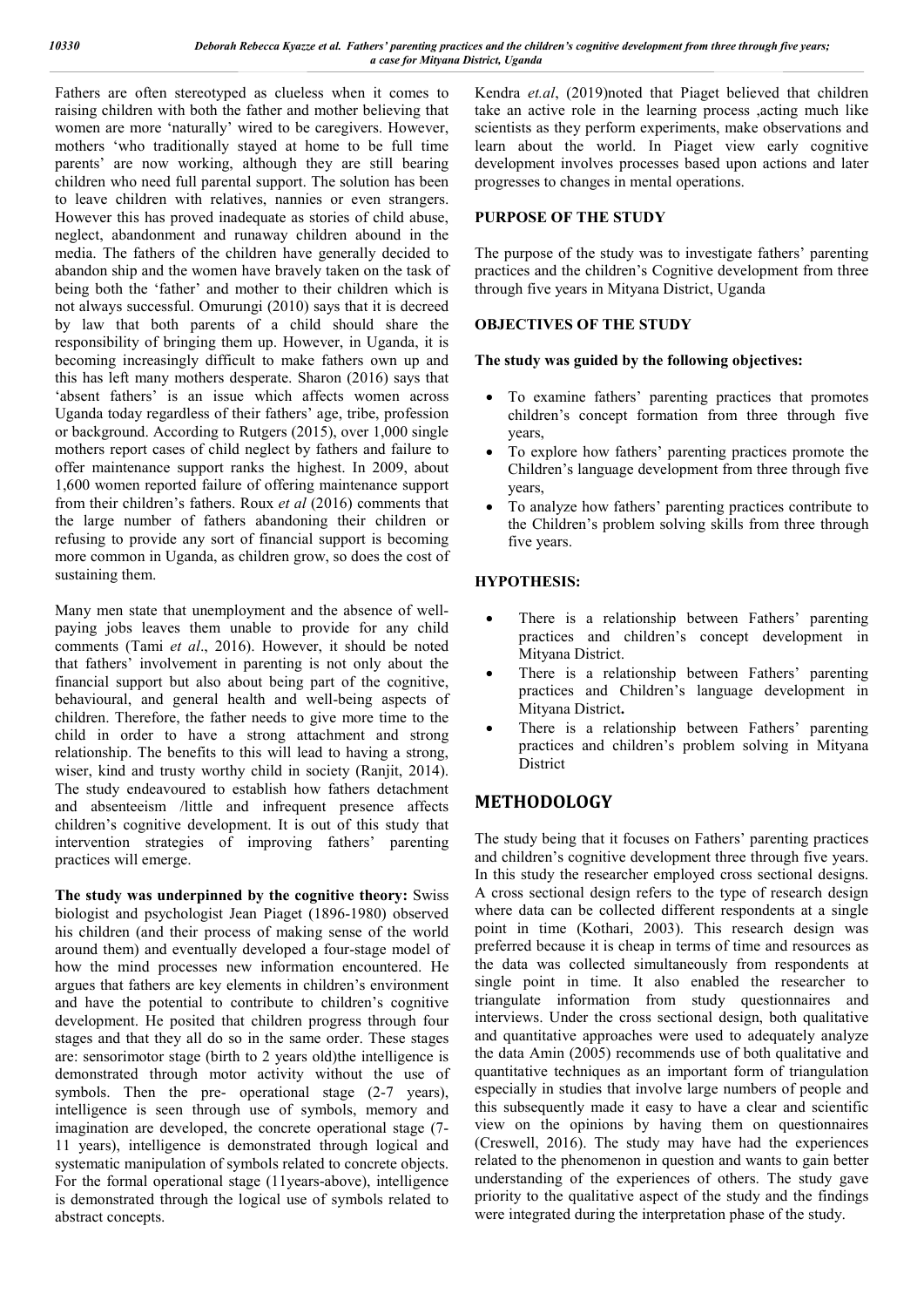Fathers are often stereotyped as clueless when it comes to raising children with both the father and mother believing that women are more 'naturally' wired to be caregivers. However, mothers 'who traditionally stayed at home to be full time parents' are now working, although they are still bearing children who need full parental support. The solution has been to leave children with relatives, nannies or even strangers. However this has proved inadequate as stories of child abuse, neglect, abandonment and runaway children abound in the media. The fathers of the children have generally decided to abandon ship and the women have bravely taken on the task of being both the 'father' and mother to their children which is not always successful. Omurungi (2010) says that it is decreed by law that both parents of a child should share the responsibility of bringing them up. However, in Uganda, it is becoming increasingly difficult to make fathers own up and this has left many mothers desperate. Sharon (2016) says that 'absent fathers' is an issue which affects women across Uganda today regardless of their fathers' age, tribe, profession or background. According to Rutgers (2015), over 1,000 single mothers report cases of child neglect by fathers and failure to offer maintenance support ranks the highest. In 2009, about 1,600 women reported failure of offering maintenance support from their children's fathers. Roux *et al* (2016) comments that the large number of fathers abandoning their children or refusing to provide any sort of financial support is becoming more common in Uganda, as children grow, so does the cost of sustaining them.

Many men state that unemployment and the absence of wellpaying jobs leaves them unable to provide for any child comments (Tami *et al*., 2016). However, it should be noted that fathers' involvement in parenting is not only about the financial support but also about being part of the cognitive, behavioural, and general health and well-being aspects of children. Therefore, the father needs to give more time to the child in order to have a strong attachment and strong relationship. The benefits to this will lead to having a strong, wiser, kind and trusty worthy child in society (Ranjit, 2014). The study endeavoured to establish how fathers detachment and absenteeism /little and infrequent presence affects children's cognitive development. It is out of this study that intervention strategies of improving fathers' parenting practices will emerge.

**The study was underpinned by the cognitive theory:** Swiss biologist and psychologist Jean Piaget (1896-1980) observed his children (and their process of making sense of the world around them) and eventually developed a four-stage model of how the mind processes new information encountered. He argues that fathers are key elements in children's environment and have the potential to contribute to children's cognitive development. He posited that children progress through four stages and that they all do so in the same order. These stages are: sensorimotor stage (birth to 2 years old)the intelligence is demonstrated through motor activity without the use of symbols. Then the pre- operational stage (2-7 years), intelligence is seen through use of symbols, memory and imagination are developed, the concrete operational stage (7- 11 years), intelligence is demonstrated through logical and systematic manipulation of symbols related to concrete objects. For the formal operational stage (11years-above), intelligence is demonstrated through the logical use of symbols related to abstract concepts.

Kendra *et.al*, (2019)noted that Piaget believed that children take an active role in the learning process ,acting much like scientists as they perform experiments, make observations and learn about the world. In Piaget view early cognitive development involves processes based upon actions and later progresses to changes in mental operations.

#### **PURPOSE OF THE STUDY**

The purpose of the study was to investigate fathers' parenting practices and the children's Cognitive development from three through five years in Mityana District, Uganda

#### **OBJECTIVES OF THE STUDY**

#### **The study was guided by the following objectives:**

- To examine fathers' parenting practices that promotes children's concept formation from three through five years,
- To explore how fathers' parenting practices promote the Children's language development from three through five years,
- To analyze how fathers' parenting practices contribute to the Children's problem solving skills from three through five years.

#### **HYPOTHESIS:**

- There is a relationship between Fathers' parenting practices and children's concept development in Mityana District.
- There is a relationship between Fathers' parenting practices and Children's language development in Mityana District**.**
- There is a relationship between Fathers' parenting practices and children's problem solving in Mityana District

### **METHODOLOGY**

The study being that it focuses on Fathers' parenting practices and children's cognitive development three through five years. In this study the researcher employed cross sectional designs. A cross sectional design refers to the type of research design where data can be collected different respondents at a single point in time (Kothari, 2003). This research design was preferred because it is cheap in terms of time and resources as the data was collected simultaneously from respondents at single point in time. It also enabled the researcher to triangulate information from study questionnaires and interviews. Under the cross sectional design, both qualitative and quantitative approaches were used to adequately analyze the data Amin (2005) recommends use of both qualitative and quantitative techniques as an important form of triangulation especially in studies that involve large numbers of people and this subsequently made it easy to have a clear and scientific view on the opinions by having them on questionnaires (Creswell, 2016). The study may have had the experiences related to the phenomenon in question and wants to gain better understanding of the experiences of others. The study gave priority to the qualitative aspect of the study and the findings were integrated during the interpretation phase of the study.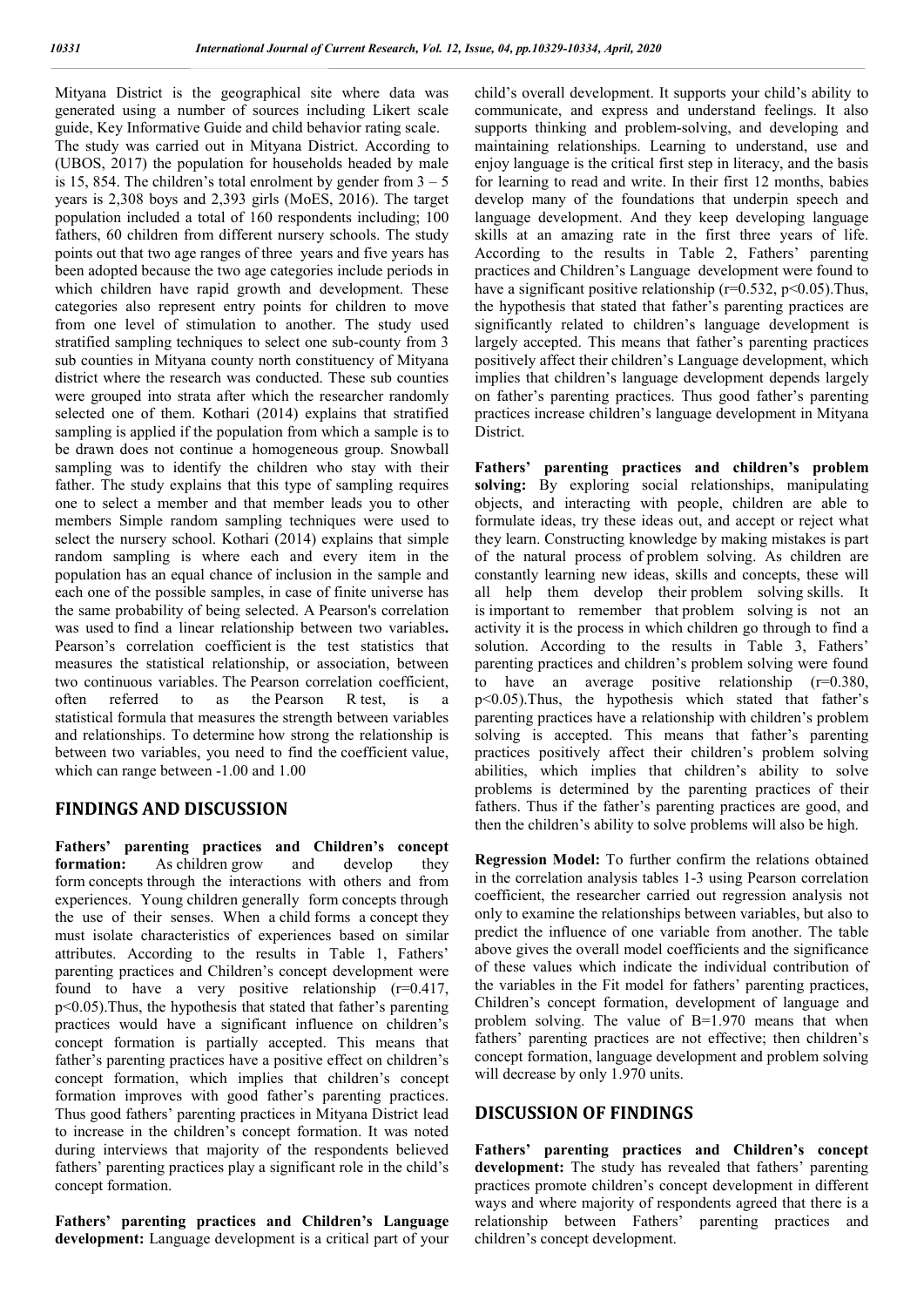Mityana District is the geographical site where data was generated using a number of sources including Likert scale guide, Key Informative Guide and child behavior rating scale. The study was carried out in Mityana District. According to (UBOS, 2017) the population for households headed by male is 15, 854. The children's total enrolment by gender from  $3 - 5$ years is 2,308 boys and 2,393 girls (MoES, 2016). The target population included a total of 160 respondents including; 100 fathers, 60 children from different nursery schools. The study points out that two age ranges of three years and five years has been adopted because the two age categories include periods in which children have rapid growth and development. These categories also represent entry points for children to move from one level of stimulation to another. The study used stratified sampling techniques to select one sub-county from 3 sub counties in Mityana county north constituency of Mityana district where the research was conducted. These sub counties were grouped into strata after which the researcher randomly selected one of them. Kothari (2014) explains that stratified sampling is applied if the population from which a sample is to be drawn does not continue a homogeneous group. Snowball sampling was to identify the children who stay with their father. The study explains that this type of sampling requires one to select a member and that member leads you to other members Simple random sampling techniques were used to select the nursery school. Kothari (2014) explains that simple random sampling is where each and every item in the population has an equal chance of inclusion in the sample and each one of the possible samples, in case of finite universe has the same probability of being selected. A Pearson's correlation was used to find a linear relationship between two variables**.**  Pearson's correlation coefficient is the test statistics that measures the statistical relationship, or association, between two continuous variables. The Pearson correlation coefficient, often referred to as the Pearson R test, is statistical formula that measures the strength between variables and relationships. To determine how strong the relationship is between two variables, you need to find the coefficient value, which can range between -1.00 and 1.00

#### **FINDINGS AND DISCUSSION**

**Fathers' parenting practices and Children's concept formation:** As children grow and develop they form concepts through the interactions with others and from experiences. Young children generally form concepts through the use of their senses. When a child forms a concept they must isolate characteristics of experiences based on similar attributes. According to the results in Table 1, Fathers' parenting practices and Children's concept development were found to have a very positive relationship  $(r=0.417)$ , p<0.05).Thus, the hypothesis that stated that father's parenting practices would have a significant influence on children's concept formation is partially accepted. This means that father's parenting practices have a positive effect on children's concept formation, which implies that children's concept formation improves with good father's parenting practices. Thus good fathers' parenting practices in Mityana District lead to increase in the children's concept formation. It was noted during interviews that majority of the respondents believed fathers' parenting practices play a significant role in the child's concept formation.

**Fathers' parenting practices and Children's Language development:** Language development is a critical part of your child's overall development. It supports your child's ability to communicate, and express and understand feelings. It also supports thinking and problem-solving, and developing and maintaining relationships. Learning to understand, use and enjoy language is the critical first step in literacy, and the basis for learning to read and write. In their first 12 months, babies develop many of the foundations that underpin speech and language development. And they keep developing language skills at an amazing rate in the first three years of life. According to the results in Table 2, Fathers' parenting practices and Children's Language development were found to have a significant positive relationship ( $r=0.532$ ,  $p<0.05$ ). Thus, the hypothesis that stated that father's parenting practices are significantly related to children's language development is largely accepted. This means that father's parenting practices positively affect their children's Language development, which implies that children's language development depends largely on father's parenting practices. Thus good father's parenting practices increase children's language development in Mityana District.

**Fathers' parenting practices and children's problem solving:** By exploring social relationships, manipulating objects, and interacting with people, children are able to formulate ideas, try these ideas out, and accept or reject what they learn. Constructing knowledge by making mistakes is part of the natural process of problem solving. As children are constantly learning new ideas, skills and concepts, these will all help them develop their problem solving skills. It is important to remember that problem solving is not an activity it is the process in which children go through to find a solution. According to the results in Table 3, Fathers' parenting practices and children's problem solving were found to have an average positive relationship (r=0.380, p<0.05).Thus, the hypothesis which stated that father's parenting practices have a relationship with children's problem solving is accepted. This means that father's parenting practices positively affect their children's problem solving abilities, which implies that children's ability to solve problems is determined by the parenting practices of their fathers. Thus if the father's parenting practices are good, and then the children's ability to solve problems will also be high.

**Regression Model:** To further confirm the relations obtained in the correlation analysis tables 1-3 using Pearson correlation coefficient, the researcher carried out regression analysis not only to examine the relationships between variables, but also to predict the influence of one variable from another. The table above gives the overall model coefficients and the significance of these values which indicate the individual contribution of the variables in the Fit model for fathers' parenting practices, Children's concept formation, development of language and problem solving. The value of B=1.970 means that when fathers' parenting practices are not effective; then children's concept formation, language development and problem solving will decrease by only 1.970 units.

#### **DISCUSSION OF FINDINGS**

**Fathers' parenting practices and Children's concept development:** The study has revealed that fathers' parenting practices promote children's concept development in different ways and where majority of respondents agreed that there is a relationship between Fathers' parenting practices and children's concept development.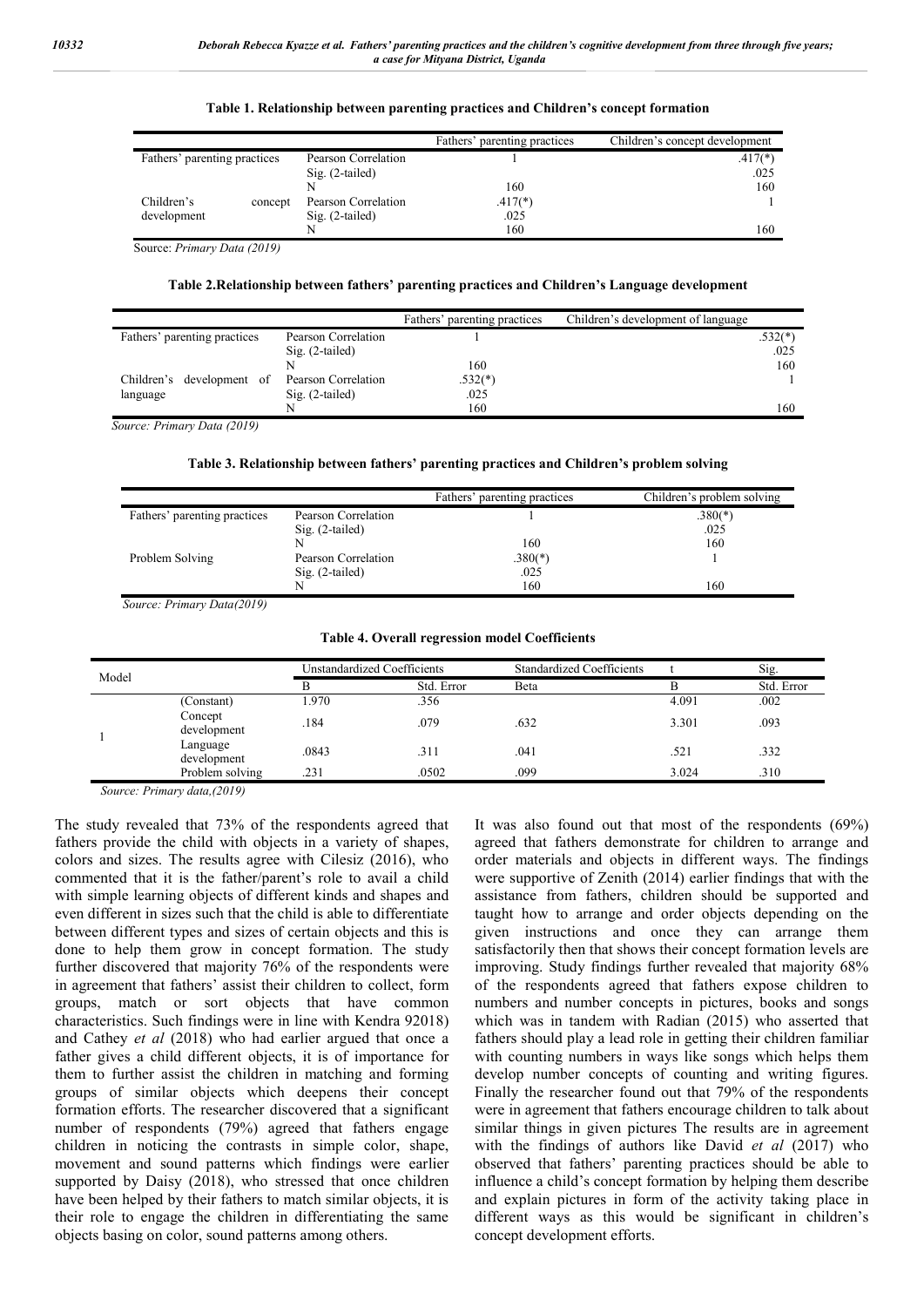#### **Table 1. Relationship between parenting practices and Children's concept formation**

|                              |         |                     | Fathers' parenting practices | Children's concept development |
|------------------------------|---------|---------------------|------------------------------|--------------------------------|
| Fathers' parenting practices |         | Pearson Correlation |                              | $.417(*)$                      |
|                              |         | $Sig. (2-tailed)$   |                              | .025                           |
|                              |         | N                   | 160                          | 160                            |
| Children's                   | concept | Pearson Correlation | $.417(*)$                    |                                |
| development                  |         | $Sig. (2-tailed)$   | .025                         |                                |
|                              |         |                     | 160                          | 160                            |

Source: *Primary Data (2019)*

#### **Table 2.Relationship between fathers' parenting practices and Children's Language development**

|                                               |                     | Fathers' parenting practices | Children's development of language |           |
|-----------------------------------------------|---------------------|------------------------------|------------------------------------|-----------|
| Fathers' parenting practices                  | Pearson Correlation |                              |                                    | $.532(*)$ |
|                                               | $Sig. (2-tailed)$   |                              |                                    | .025      |
|                                               |                     | 160                          |                                    | 160       |
| Children's development of Pearson Correlation |                     | $.532(*)$                    |                                    |           |
| language                                      | $Sig. (2-tailed)$   | .025                         |                                    |           |
|                                               |                     | 160                          |                                    | 160       |

*Source: Primary Data (2019)*

#### **Table 3. Relationship between fathers' parenting practices and Children's problem solving**

|                              |                     | Fathers' parenting practices | Children's problem solving |
|------------------------------|---------------------|------------------------------|----------------------------|
| Fathers' parenting practices | Pearson Correlation |                              | $.380(*)$                  |
|                              | $Sig. (2-tailed)$   |                              | .025                       |
|                              |                     | 160                          | 160                        |
| Problem Solving              | Pearson Correlation | $.380(*)$                    |                            |
|                              | $Sig. (2-tailed)$   | .025                         |                            |
|                              |                     | 160                          | 160                        |

*Source: Primary Data(2019)*

#### **Table 4. Overall regression model Coefficients**

| Model |                         | Unstandardized Coefficients |            | <b>Standardized Coefficients</b> |       | Sig.       |
|-------|-------------------------|-----------------------------|------------|----------------------------------|-------|------------|
|       |                         |                             | Std. Error | <b>B</b> eta                     |       | Std. Error |
|       | (Constant)              | 1.970                       | .356       |                                  | 4.091 | .002       |
|       | Concept<br>development  | .184                        | .079       | .632                             | 3.301 | .093       |
|       | Language<br>development | .0843                       | .311       | .041                             | .521  | .332       |
|       | Problem solving         | .231                        | .0502      | .099                             | 3.024 | .310       |

*Source: Primary data,(2019)*

The study revealed that 73% of the respondents agreed that fathers provide the child with objects in a variety of shapes, colors and sizes. The results agree with Cilesiz (2016), who commented that it is the father/parent's role to avail a child with simple learning objects of different kinds and shapes and even different in sizes such that the child is able to differentiate between different types and sizes of certain objects and this is done to help them grow in concept formation. The study further discovered that majority 76% of the respondents were in agreement that fathers' assist their children to collect, form groups, match or sort objects that have common characteristics. Such findings were in line with Kendra 92018) and Cathey *et al* (2018) who had earlier argued that once a father gives a child different objects, it is of importance for them to further assist the children in matching and forming groups of similar objects which deepens their concept formation efforts. The researcher discovered that a significant number of respondents (79%) agreed that fathers engage children in noticing the contrasts in simple color, shape, movement and sound patterns which findings were earlier supported by Daisy (2018), who stressed that once children have been helped by their fathers to match similar objects, it is their role to engage the children in differentiating the same objects basing on color, sound patterns among others.

It was also found out that most of the respondents (69%) agreed that fathers demonstrate for children to arrange and order materials and objects in different ways. The findings were supportive of Zenith (2014) earlier findings that with the assistance from fathers, children should be supported and taught how to arrange and order objects depending on the given instructions and once they can arrange them satisfactorily then that shows their concept formation levels are improving. Study findings further revealed that majority 68% of the respondents agreed that fathers expose children to numbers and number concepts in pictures, books and songs which was in tandem with Radian (2015) who asserted that fathers should play a lead role in getting their children familiar with counting numbers in ways like songs which helps them develop number concepts of counting and writing figures. Finally the researcher found out that 79% of the respondents were in agreement that fathers encourage children to talk about similar things in given pictures The results are in agreement with the findings of authors like David *et al* (2017) who observed that fathers' parenting practices should be able to influence a child's concept formation by helping them describe and explain pictures in form of the activity taking place in different ways as this would be significant in children's concept development efforts.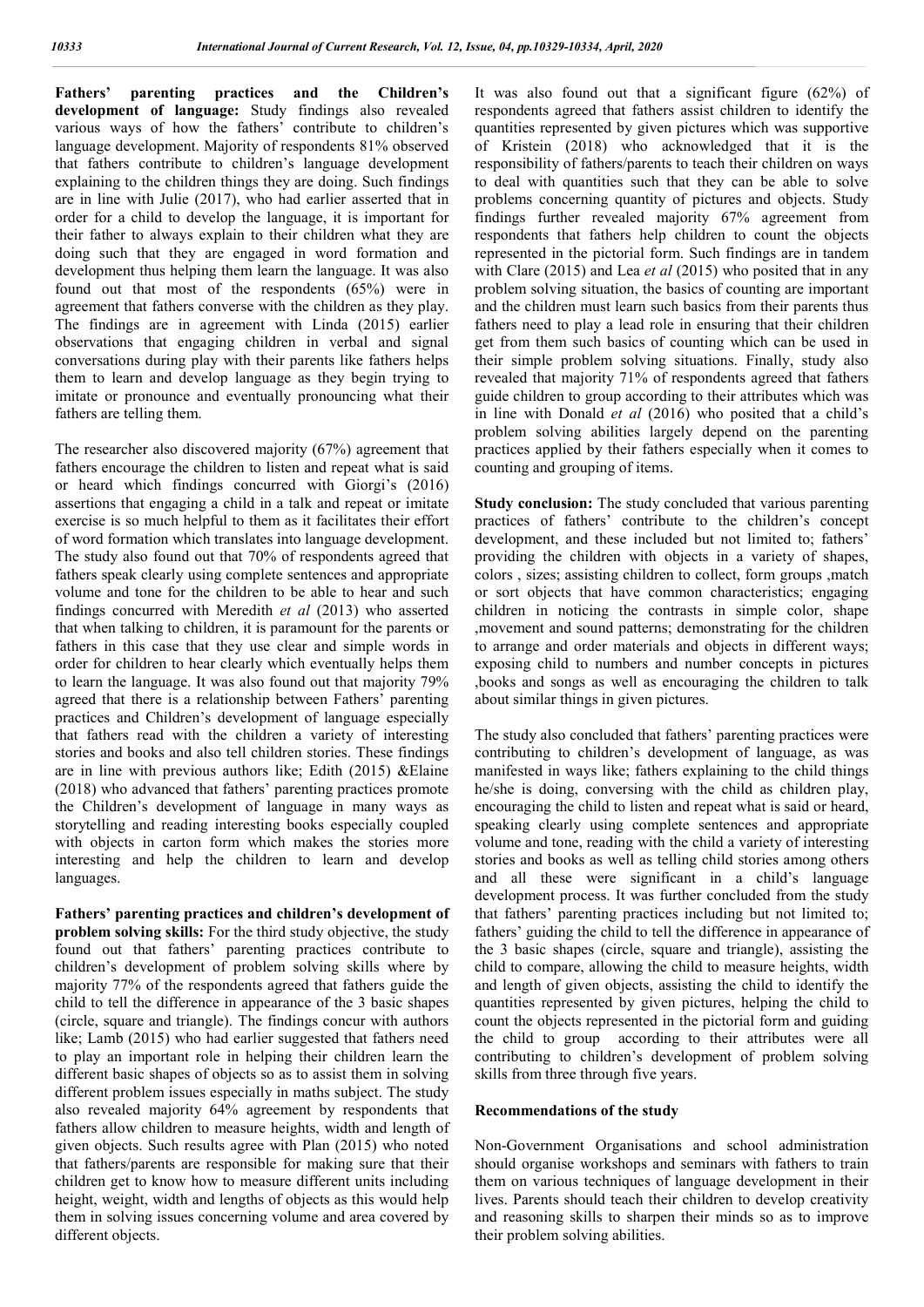**Fathers' parenting practices and the Children's development of language:** Study findings also revealed various ways of how the fathers' contribute to children's language development. Majority of respondents 81% observed that fathers contribute to children's language development explaining to the children things they are doing. Such findings are in line with Julie (2017), who had earlier asserted that in order for a child to develop the language, it is important for their father to always explain to their children what they are doing such that they are engaged in word formation and development thus helping them learn the language. It was also found out that most of the respondents (65%) were in agreement that fathers converse with the children as they play. The findings are in agreement with Linda (2015) earlier observations that engaging children in verbal and signal conversations during play with their parents like fathers helps them to learn and develop language as they begin trying to imitate or pronounce and eventually pronouncing what their fathers are telling them.

The researcher also discovered majority (67%) agreement that fathers encourage the children to listen and repeat what is said or heard which findings concurred with Giorgi's (2016) assertions that engaging a child in a talk and repeat or imitate exercise is so much helpful to them as it facilitates their effort of word formation which translates into language development. The study also found out that 70% of respondents agreed that fathers speak clearly using complete sentences and appropriate volume and tone for the children to be able to hear and such findings concurred with Meredith *et al* (2013) who asserted that when talking to children, it is paramount for the parents or fathers in this case that they use clear and simple words in order for children to hear clearly which eventually helps them to learn the language. It was also found out that majority 79% agreed that there is a relationship between Fathers' parenting practices and Children's development of language especially that fathers read with the children a variety of interesting stories and books and also tell children stories. These findings are in line with previous authors like; Edith (2015) &Elaine (2018) who advanced that fathers' parenting practices promote the Children's development of language in many ways as storytelling and reading interesting books especially coupled with objects in carton form which makes the stories more interesting and help the children to learn and develop languages.

**Fathers' parenting practices and children's development of problem solving skills:** For the third study objective, the study found out that fathers' parenting practices contribute to children's development of problem solving skills where by majority 77% of the respondents agreed that fathers guide the child to tell the difference in appearance of the 3 basic shapes (circle, square and triangle). The findings concur with authors like; Lamb (2015) who had earlier suggested that fathers need to play an important role in helping their children learn the different basic shapes of objects so as to assist them in solving different problem issues especially in maths subject. The study also revealed majority 64% agreement by respondents that fathers allow children to measure heights, width and length of given objects. Such results agree with Plan (2015) who noted that fathers/parents are responsible for making sure that their children get to know how to measure different units including height, weight, width and lengths of objects as this would help them in solving issues concerning volume and area covered by different objects.

It was also found out that a significant figure (62%) of respondents agreed that fathers assist children to identify the quantities represented by given pictures which was supportive of Kristein (2018) who acknowledged that it is the responsibility of fathers/parents to teach their children on ways to deal with quantities such that they can be able to solve problems concerning quantity of pictures and objects. Study findings further revealed majority 67% agreement from respondents that fathers help children to count the objects represented in the pictorial form. Such findings are in tandem with Clare (2015) and Lea *et al* (2015) who posited that in any problem solving situation, the basics of counting are important and the children must learn such basics from their parents thus fathers need to play a lead role in ensuring that their children get from them such basics of counting which can be used in their simple problem solving situations. Finally, study also revealed that majority 71% of respondents agreed that fathers guide children to group according to their attributes which was in line with Donald *et al* (2016) who posited that a child's problem solving abilities largely depend on the parenting practices applied by their fathers especially when it comes to counting and grouping of items.

**Study conclusion:** The study concluded that various parenting practices of fathers' contribute to the children's concept development, and these included but not limited to; fathers' providing the children with objects in a variety of shapes, colors , sizes; assisting children to collect, form groups ,match or sort objects that have common characteristics; engaging children in noticing the contrasts in simple color, shape ,movement and sound patterns; demonstrating for the children to arrange and order materials and objects in different ways; exposing child to numbers and number concepts in pictures ,books and songs as well as encouraging the children to talk about similar things in given pictures.

The study also concluded that fathers' parenting practices were contributing to children's development of language, as was manifested in ways like; fathers explaining to the child things he/she is doing, conversing with the child as children play, encouraging the child to listen and repeat what is said or heard, speaking clearly using complete sentences and appropriate volume and tone, reading with the child a variety of interesting stories and books as well as telling child stories among others and all these were significant in a child's language development process. It was further concluded from the study that fathers' parenting practices including but not limited to; fathers' guiding the child to tell the difference in appearance of the 3 basic shapes (circle, square and triangle), assisting the child to compare, allowing the child to measure heights, width and length of given objects, assisting the child to identify the quantities represented by given pictures, helping the child to count the objects represented in the pictorial form and guiding the child to group according to their attributes were all contributing to children's development of problem solving skills from three through five years.

#### **Recommendations of the study**

Non-Government Organisations and school administration should organise workshops and seminars with fathers to train them on various techniques of language development in their lives. Parents should teach their children to develop creativity and reasoning skills to sharpen their minds so as to improve their problem solving abilities.